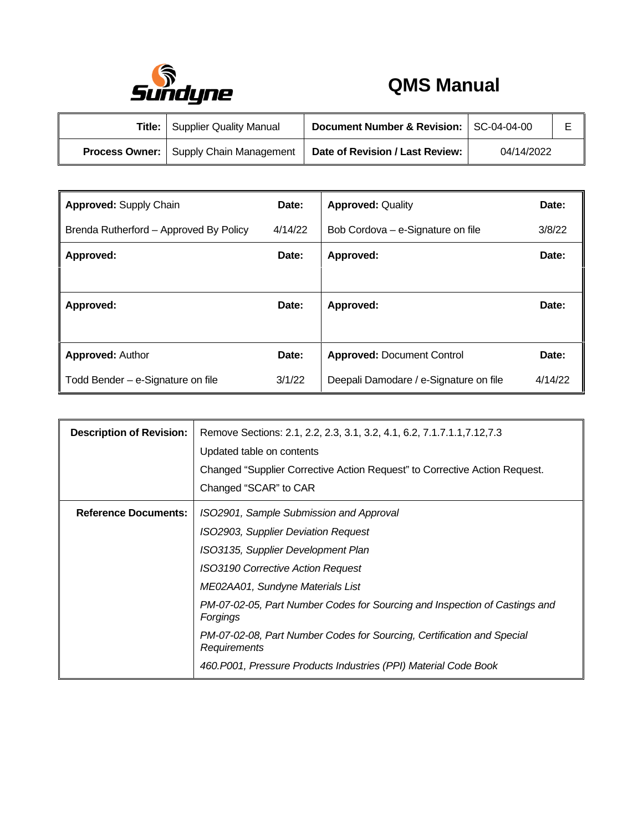

## **QMS Manual**

| Title: | Supplier Quality Manual                         | Document Number & Revision: SC-04-04-00 |            |  |
|--------|-------------------------------------------------|-----------------------------------------|------------|--|
|        | <b>Process Owner:</b>   Supply Chain Management | Date of Revision / Last Review:         | 04/14/2022 |  |

| <b>Approved: Supply Chain</b><br>Date: |         | <b>Approved: Quality</b>               | Date:   |
|----------------------------------------|---------|----------------------------------------|---------|
| Brenda Rutherford - Approved By Policy | 4/14/22 | Bob Cordova - e-Signature on file      | 3/8/22  |
| Approved:                              | Date:   | Approved:                              | Date:   |
|                                        |         |                                        |         |
| Approved:                              | Date:   | Approved:                              | Date:   |
|                                        |         |                                        |         |
| <b>Approved: Author</b>                | Date:   | <b>Approved: Document Control</b>      | Date:   |
| Todd Bender – e-Signature on file      | 3/1/22  | Deepali Damodare / e-Signature on file | 4/14/22 |

| <b>Description of Revision:</b> | Remove Sections: 2.1, 2.2, 2.3, 3.1, 3.2, 4.1, 6.2, 7.1.7.1.1, 7.12, 7.3<br>Updated table on contents<br>Changed "Supplier Corrective Action Request" to Corrective Action Request.<br>Changed "SCAR" to CAR                                                                                                                                                                                                                                                |
|---------------------------------|-------------------------------------------------------------------------------------------------------------------------------------------------------------------------------------------------------------------------------------------------------------------------------------------------------------------------------------------------------------------------------------------------------------------------------------------------------------|
| <b>Reference Documents:</b>     | ISO2901, Sample Submission and Approval<br>ISO2903, Supplier Deviation Request<br>ISO3135, Supplier Development Plan<br><b>ISO3190 Corrective Action Request</b><br>ME02AA01, Sundyne Materials List<br>PM-07-02-05, Part Number Codes for Sourcing and Inspection of Castings and<br>Forgings<br>PM-07-02-08, Part Number Codes for Sourcing, Certification and Special<br>Requirements<br>460.P001, Pressure Products Industries (PPI) Material Code Book |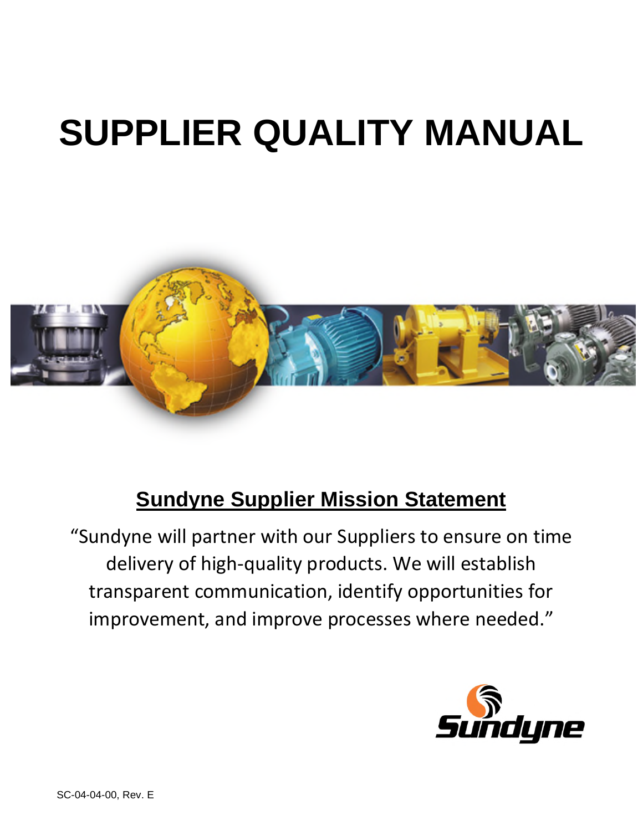# **SUPPLIER QUALITY MANUAL**



## **Sundyne Supplier Mission Statement**

"Sundyne will partner with our Suppliers to ensure on time delivery of high-quality products. We will establish transparent communication, identify opportunities for improvement, and improve processes where needed."

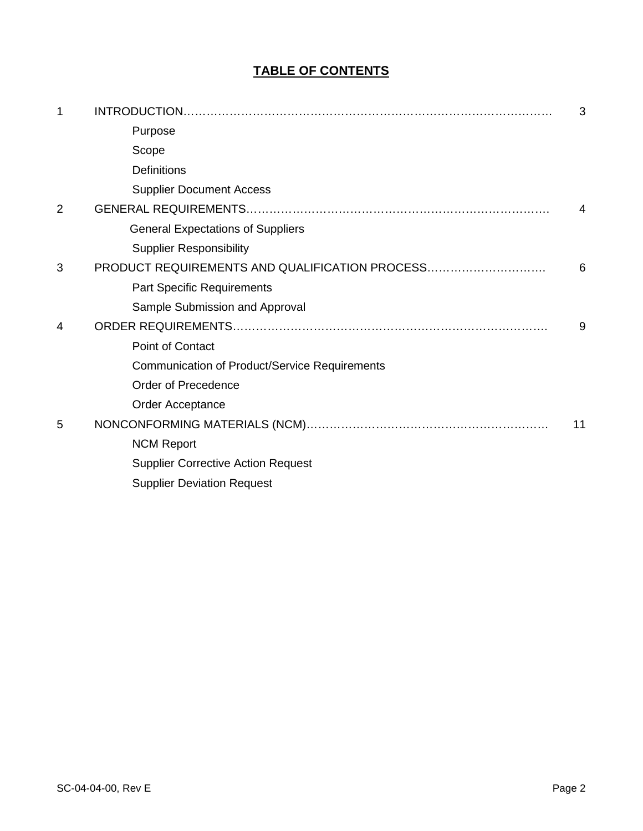### **TABLE OF CONTENTS**

| 1              |                                                      | 3  |
|----------------|------------------------------------------------------|----|
|                | Purpose                                              |    |
|                | Scope                                                |    |
|                | <b>Definitions</b>                                   |    |
|                | <b>Supplier Document Access</b>                      |    |
| $\overline{2}$ |                                                      | 4  |
|                | <b>General Expectations of Suppliers</b>             |    |
|                | <b>Supplier Responsibility</b>                       |    |
| 3              | PRODUCT REQUIREMENTS AND QUALIFICATION PROCESS       | 6  |
|                | <b>Part Specific Requirements</b>                    |    |
|                | Sample Submission and Approval                       |    |
| 4              |                                                      | 9  |
|                | <b>Point of Contact</b>                              |    |
|                | <b>Communication of Product/Service Requirements</b> |    |
|                | Order of Precedence                                  |    |
|                | Order Acceptance                                     |    |
| 5              |                                                      | 11 |
|                | <b>NCM Report</b>                                    |    |
|                | <b>Supplier Corrective Action Request</b>            |    |
|                | <b>Supplier Deviation Request</b>                    |    |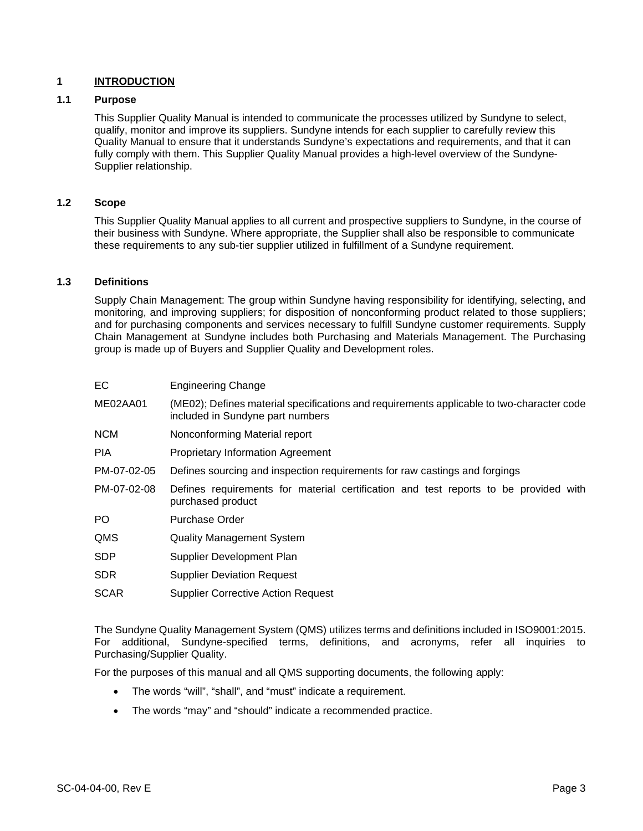#### **1 INTRODUCTION**

#### **1.1 Purpose**

This Supplier Quality Manual is intended to communicate the processes utilized by Sundyne to select, qualify, monitor and improve its suppliers. Sundyne intends for each supplier to carefully review this Quality Manual to ensure that it understands Sundyne's expectations and requirements, and that it can fully comply with them. This Supplier Quality Manual provides a high-level overview of the Sundyne-Supplier relationship.

#### **1.2 Scope**

This Supplier Quality Manual applies to all current and prospective suppliers to Sundyne, in the course of their business with Sundyne. Where appropriate, the Supplier shall also be responsible to communicate these requirements to any sub-tier supplier utilized in fulfillment of a Sundyne requirement.

#### **1.3 Definitions**

Supply Chain Management: The group within Sundyne having responsibility for identifying, selecting, and monitoring, and improving suppliers; for disposition of nonconforming product related to those suppliers; and for purchasing components and services necessary to fulfill Sundyne customer requirements. Supply Chain Management at Sundyne includes both Purchasing and Materials Management. The Purchasing group is made up of Buyers and Supplier Quality and Development roles.

| EC.         | <b>Engineering Change</b>                                                                                                     |
|-------------|-------------------------------------------------------------------------------------------------------------------------------|
| ME02AA01    | (ME02); Defines material specifications and requirements applicable to two-character code<br>included in Sundyne part numbers |
| <b>NCM</b>  | Nonconforming Material report                                                                                                 |
| <b>PIA</b>  | <b>Proprietary Information Agreement</b>                                                                                      |
| PM-07-02-05 | Defines sourcing and inspection requirements for raw castings and forgings                                                    |
| PM-07-02-08 | Defines requirements for material certification and test reports to be provided with<br>purchased product                     |
| PO.         | Purchase Order                                                                                                                |
| QMS         | <b>Quality Management System</b>                                                                                              |
| <b>SDP</b>  | Supplier Development Plan                                                                                                     |
| <b>SDR</b>  | <b>Supplier Deviation Request</b>                                                                                             |
| <b>SCAR</b> | <b>Supplier Corrective Action Request</b>                                                                                     |

The Sundyne Quality Management System (QMS) utilizes terms and definitions included in ISO9001:2015. For additional, Sundyne-specified terms, definitions, and acronyms, refer all inquiries to Purchasing/Supplier Quality.

For the purposes of this manual and all QMS supporting documents, the following apply:

- The words "will", "shall", and "must" indicate a requirement.
- The words "may" and "should" indicate a recommended practice.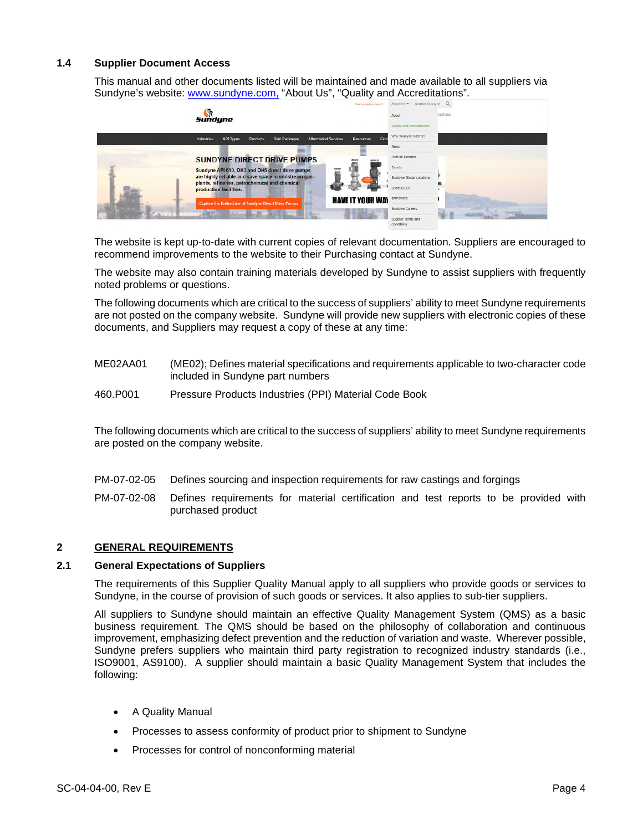#### **1.4 Supplier Document Access**

This manual and other documents listed will be maintained and made available to all suppliers via Sundyne's website: www.sundyne.com, "About Us", "Quality and Accreditations".

|  | Sundyne                                                                                                                             | Rags not loading property? | About Us *   Contact Sundyme Q<br>About<br>Quality and Accreditations  | YouTube |
|--|-------------------------------------------------------------------------------------------------------------------------------------|----------------------------|------------------------------------------------------------------------|---------|
|  | <b>Skid Packages</b><br><b>API Types</b><br><b>Products</b><br><b>Altermarket Services</b><br><b>Resources</b><br><b>Industries</b> | Find                       | Why Sundyne is Better<br>News                                          |         |
|  | <b>SUNDYNE DIRECT DRIVE PUMPS</b>                                                                                                   |                            | Print on Demand                                                        |         |
|  | ÷<br>Sundyne API 610, OH3 and OH5 direct drive pumps<br>are highly reliable and save space in midstream gas                         |                            | Events                                                                 |         |
|  | plants, refineries, petrochemical and chemical<br>production facilities.                                                            |                            | Sundyne Global Locations<br><b>SundQUEST</b>                           |         |
|  | <b>HAVE IT YOUR WAY</b><br><b>Explore the Entire Line of Sundyne Direct Drive Pumps</b>                                             |                            | ERP2WEB                                                                |         |
|  |                                                                                                                                     |                            | <b>Sundyne Careers</b><br>Supplier Terms and<br><b>CALL COMMERCIAL</b> |         |

The website is kept up-to-date with current copies of relevant documentation. Suppliers are encouraged to recommend improvements to the website to their Purchasing contact at Sundyne.

The website may also contain training materials developed by Sundyne to assist suppliers with frequently noted problems or questions.

The following documents which are critical to the success of suppliers' ability to meet Sundyne requirements are not posted on the company website. Sundyne will provide new suppliers with electronic copies of these documents, and Suppliers may request a copy of these at any time:

- ME02AA01 (ME02); Defines material specifications and requirements applicable to two-character code included in Sundyne part numbers
- 460.P001 Pressure Products Industries (PPI) Material Code Book

The following documents which are critical to the success of suppliers' ability to meet Sundyne requirements are posted on the company website.

- PM-07-02-05 Defines sourcing and inspection requirements for raw castings and forgings
- PM-07-02-08 Defines requirements for material certification and test reports to be provided with purchased product

#### **2 GENERAL REQUIREMENTS**

#### **2.1 General Expectations of Suppliers**

The requirements of this Supplier Quality Manual apply to all suppliers who provide goods or services to Sundyne, in the course of provision of such goods or services. It also applies to sub-tier suppliers.

All suppliers to Sundyne should maintain an effective Quality Management System (QMS) as a basic business requirement. The QMS should be based on the philosophy of collaboration and continuous improvement, emphasizing defect prevention and the reduction of variation and waste. Wherever possible, Sundyne prefers suppliers who maintain third party registration to recognized industry standards (i.e., ISO9001, AS9100). A supplier should maintain a basic Quality Management System that includes the following:

- A Quality Manual
- Processes to assess conformity of product prior to shipment to Sundyne
- Processes for control of nonconforming material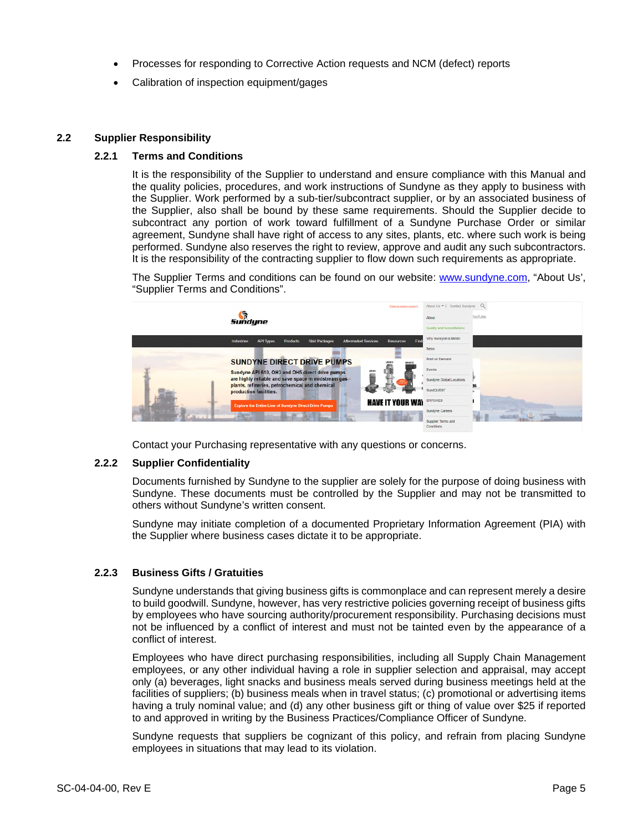- Processes for responding to Corrective Action requests and NCM (defect) reports
- Calibration of inspection equipment/gages

#### **2.2 Supplier Responsibility**

#### **2.2.1 Terms and Conditions**

It is the responsibility of the Supplier to understand and ensure compliance with this Manual and the quality policies, procedures, and work instructions of Sundyne as they apply to business with the Supplier. Work performed by a sub-tier/subcontract supplier, or by an associated business of the Supplier, also shall be bound by these same requirements. Should the Supplier decide to subcontract any portion of work toward fulfillment of a Sundyne Purchase Order or similar agreement, Sundyne shall have right of access to any sites, plants, etc. where such work is being performed. Sundyne also reserves the right to review, approve and audit any such subcontractors. It is the responsibility of the contracting supplier to flow down such requirements as appropriate.

The Supplier Terms and conditions can be found on our website: www.sundyne.com, "About Us', "Supplier Terms and Conditions".



Contact your Purchasing representative with any questions or concerns.

#### **2.2.2 Supplier Confidentiality**

Documents furnished by Sundyne to the supplier are solely for the purpose of doing business with Sundyne. These documents must be controlled by the Supplier and may not be transmitted to others without Sundyne's written consent.

Sundyne may initiate completion of a documented Proprietary Information Agreement (PIA) with the Supplier where business cases dictate it to be appropriate.

#### **2.2.3 Business Gifts / Gratuities**

Sundyne understands that giving business gifts is commonplace and can represent merely a desire to build goodwill. Sundyne, however, has very restrictive policies governing receipt of business gifts by employees who have sourcing authority/procurement responsibility. Purchasing decisions must not be influenced by a conflict of interest and must not be tainted even by the appearance of a conflict of interest.

Employees who have direct purchasing responsibilities, including all Supply Chain Management employees, or any other individual having a role in supplier selection and appraisal, may accept only (a) beverages, light snacks and business meals served during business meetings held at the facilities of suppliers; (b) business meals when in travel status; (c) promotional or advertising items having a truly nominal value; and (d) any other business gift or thing of value over \$25 if reported to and approved in writing by the Business Practices/Compliance Officer of Sundyne.

Sundyne requests that suppliers be cognizant of this policy, and refrain from placing Sundyne employees in situations that may lead to its violation.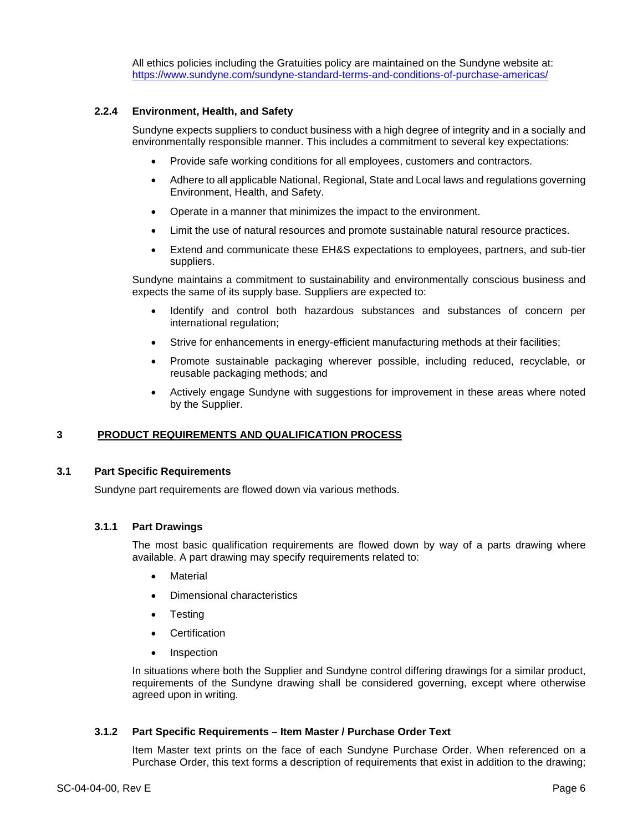All ethics policies including the Gratuities policy are maintained on the Sundyne website at: https://www.sundyne.com/sundyne-standard-terms-and-conditions-of-purchase-americas/

#### **2.2.4 Environment, Health, and Safety**

Sundyne expects suppliers to conduct business with a high degree of integrity and in a socially and environmentally responsible manner. This includes a commitment to several key expectations:

- Provide safe working conditions for all employees, customers and contractors.
- Adhere to all applicable National, Regional, State and Local laws and regulations governing Environment, Health, and Safety.
- Operate in a manner that minimizes the impact to the environment.
- Limit the use of natural resources and promote sustainable natural resource practices.
- Extend and communicate these EH&S expectations to employees, partners, and sub-tier suppliers.

Sundyne maintains a commitment to sustainability and environmentally conscious business and expects the same of its supply base. Suppliers are expected to:

- Identify and control both hazardous substances and substances of concern per international regulation;
- Strive for enhancements in energy-efficient manufacturing methods at their facilities;
- Promote sustainable packaging wherever possible, including reduced, recyclable, or reusable packaging methods; and
- Actively engage Sundyne with suggestions for improvement in these areas where noted by the Supplier.

#### **3 PRODUCT REQUIREMENTS AND QUALIFICATION PROCESS**

#### **3.1 Part Specific Requirements**

Sundyne part requirements are flowed down via various methods.

#### **3.1.1 Part Drawings**

The most basic qualification requirements are flowed down by way of a parts drawing where available. A part drawing may specify requirements related to:

- **Material**
- Dimensional characteristics
- Testing
- **•** Certification
- Inspection

In situations where both the Supplier and Sundyne control differing drawings for a similar product, requirements of the Sundyne drawing shall be considered governing, except where otherwise agreed upon in writing.

#### **3.1.2 Part Specific Requirements – Item Master / Purchase Order Text**

Item Master text prints on the face of each Sundyne Purchase Order. When referenced on a Purchase Order, this text forms a description of requirements that exist in addition to the drawing;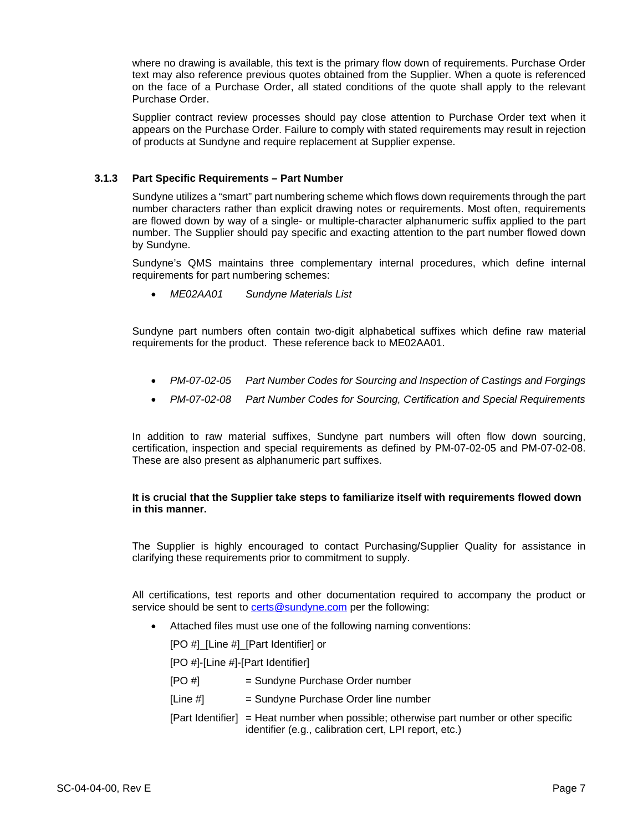where no drawing is available, this text is the primary flow down of requirements. Purchase Order text may also reference previous quotes obtained from the Supplier. When a quote is referenced on the face of a Purchase Order, all stated conditions of the quote shall apply to the relevant Purchase Order.

Supplier contract review processes should pay close attention to Purchase Order text when it appears on the Purchase Order. Failure to comply with stated requirements may result in rejection of products at Sundyne and require replacement at Supplier expense.

#### **3.1.3 Part Specific Requirements – Part Number**

Sundyne utilizes a "smart" part numbering scheme which flows down requirements through the part number characters rather than explicit drawing notes or requirements. Most often, requirements are flowed down by way of a single- or multiple-character alphanumeric suffix applied to the part number. The Supplier should pay specific and exacting attention to the part number flowed down by Sundyne.

Sundyne's QMS maintains three complementary internal procedures, which define internal requirements for part numbering schemes:

*ME02AA01 Sundyne Materials List*

Sundyne part numbers often contain two-digit alphabetical suffixes which define raw material requirements for the product. These reference back to ME02AA01.

- *PM-07-02-05 Part Number Codes for Sourcing and Inspection of Castings and Forgings*
- *PM-07-02-08 Part Number Codes for Sourcing, Certification and Special Requirements*

In addition to raw material suffixes, Sundyne part numbers will often flow down sourcing, certification, inspection and special requirements as defined by PM-07-02-05 and PM-07-02-08. These are also present as alphanumeric part suffixes.

#### **It is crucial that the Supplier take steps to familiarize itself with requirements flowed down in this manner.**

The Supplier is highly encouraged to contact Purchasing/Supplier Quality for assistance in clarifying these requirements prior to commitment to supply.

All certifications, test reports and other documentation required to accompany the product or service should be sent to certs@sundyne.com per the following:

Attached files must use one of the following naming conventions:

[PO #] [Line #] [Part Identifier] or

[PO #]-[Line #]-[Part Identifier]

| [PO#]    | = Sundyne Purchase Order number                                                                                                                   |
|----------|---------------------------------------------------------------------------------------------------------------------------------------------------|
| [Line #] | = Sundyne Purchase Order line number                                                                                                              |
|          | $[Part Identifier] = Heat number when possible; otherwise part number or other specific$<br>identifier (e.g., calibration cert, LPI report, etc.) |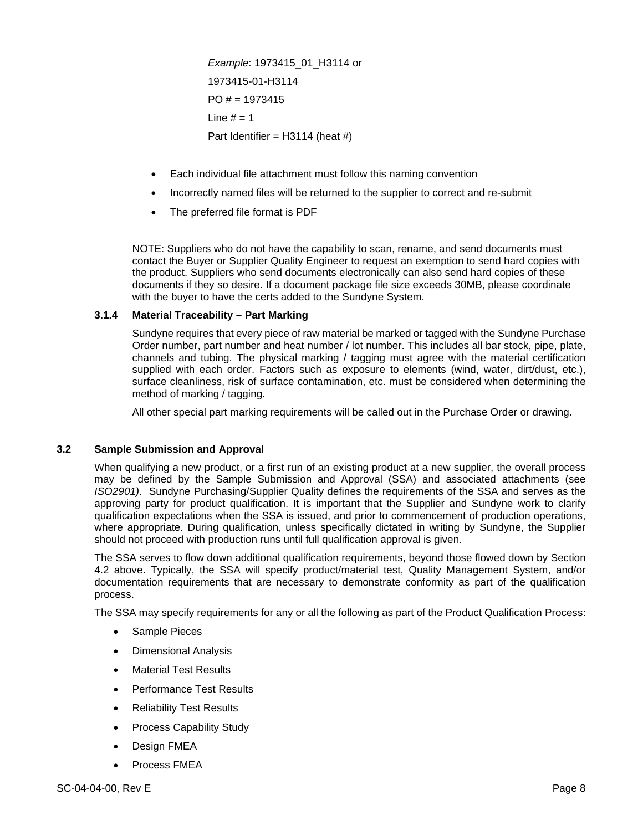*Example*: 1973415\_01\_H3114 or 1973415-01-H3114  $PO# = 1973415$ Line  $# = 1$ Part Identifier =  $H3114$  (heat #)

- Each individual file attachment must follow this naming convention
- Incorrectly named files will be returned to the supplier to correct and re-submit
- The preferred file format is PDF

NOTE: Suppliers who do not have the capability to scan, rename, and send documents must contact the Buyer or Supplier Quality Engineer to request an exemption to send hard copies with the product. Suppliers who send documents electronically can also send hard copies of these documents if they so desire. If a document package file size exceeds 30MB, please coordinate with the buyer to have the certs added to the Sundyne System.

#### **3.1.4 Material Traceability – Part Marking**

Sundyne requires that every piece of raw material be marked or tagged with the Sundyne Purchase Order number, part number and heat number / lot number. This includes all bar stock, pipe, plate, channels and tubing. The physical marking / tagging must agree with the material certification supplied with each order. Factors such as exposure to elements (wind, water, dirt/dust, etc.), surface cleanliness, risk of surface contamination, etc. must be considered when determining the method of marking / tagging.

All other special part marking requirements will be called out in the Purchase Order or drawing.

#### **3.2 Sample Submission and Approval**

When qualifying a new product, or a first run of an existing product at a new supplier, the overall process may be defined by the Sample Submission and Approval (SSA) and associated attachments (see *ISO2901)*. Sundyne Purchasing/Supplier Quality defines the requirements of the SSA and serves as the approving party for product qualification. It is important that the Supplier and Sundyne work to clarify qualification expectations when the SSA is issued, and prior to commencement of production operations, where appropriate. During qualification, unless specifically dictated in writing by Sundyne, the Supplier should not proceed with production runs until full qualification approval is given.

The SSA serves to flow down additional qualification requirements, beyond those flowed down by Section 4.2 above. Typically, the SSA will specify product/material test, Quality Management System, and/or documentation requirements that are necessary to demonstrate conformity as part of the qualification process.

The SSA may specify requirements for any or all the following as part of the Product Qualification Process:

- Sample Pieces
- Dimensional Analysis
- Material Test Results
- Performance Test Results
- Reliability Test Results
- Process Capability Study
- Design FMEA
- Process FMEA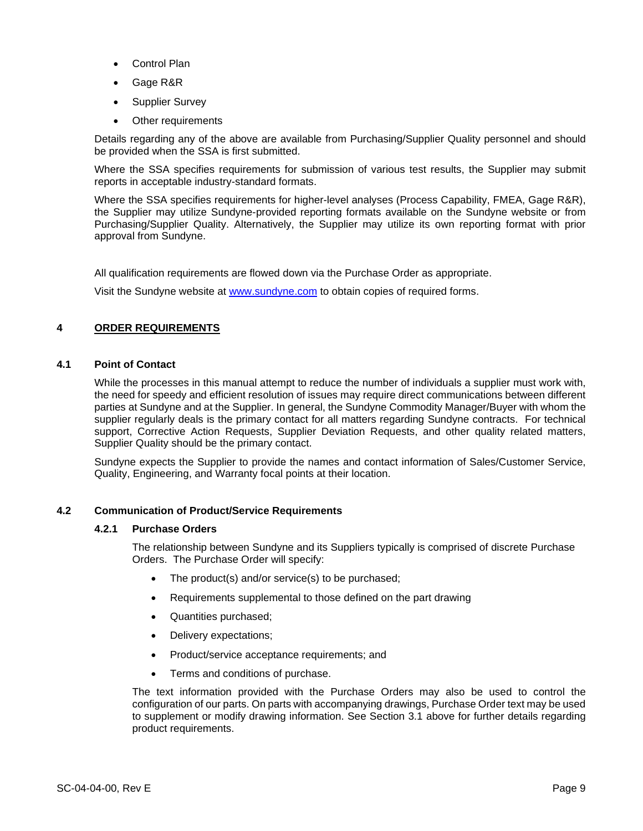- Control Plan
- Gage R&R
- Supplier Survey
- Other requirements

Details regarding any of the above are available from Purchasing/Supplier Quality personnel and should be provided when the SSA is first submitted.

Where the SSA specifies requirements for submission of various test results, the Supplier may submit reports in acceptable industry-standard formats.

Where the SSA specifies requirements for higher-level analyses (Process Capability, FMEA, Gage R&R), the Supplier may utilize Sundyne-provided reporting formats available on the Sundyne website or from Purchasing/Supplier Quality. Alternatively, the Supplier may utilize its own reporting format with prior approval from Sundyne.

All qualification requirements are flowed down via the Purchase Order as appropriate.

Visit the Sundyne website at www.sundyne.com to obtain copies of required forms.

#### **4 ORDER REQUIREMENTS**

#### **4.1 Point of Contact**

While the processes in this manual attempt to reduce the number of individuals a supplier must work with, the need for speedy and efficient resolution of issues may require direct communications between different parties at Sundyne and at the Supplier. In general, the Sundyne Commodity Manager/Buyer with whom the supplier regularly deals is the primary contact for all matters regarding Sundyne contracts. For technical support, Corrective Action Requests, Supplier Deviation Requests, and other quality related matters, Supplier Quality should be the primary contact.

Sundyne expects the Supplier to provide the names and contact information of Sales/Customer Service, Quality, Engineering, and Warranty focal points at their location.

#### **4.2 Communication of Product/Service Requirements**

#### **4.2.1 Purchase Orders**

The relationship between Sundyne and its Suppliers typically is comprised of discrete Purchase Orders. The Purchase Order will specify:

- The product(s) and/or service(s) to be purchased;
- Requirements supplemental to those defined on the part drawing
- Quantities purchased;
- Delivery expectations;
- Product/service acceptance requirements; and
- Terms and conditions of purchase.

The text information provided with the Purchase Orders may also be used to control the configuration of our parts. On parts with accompanying drawings, Purchase Order text may be used to supplement or modify drawing information. See Section 3.1 above for further details regarding product requirements.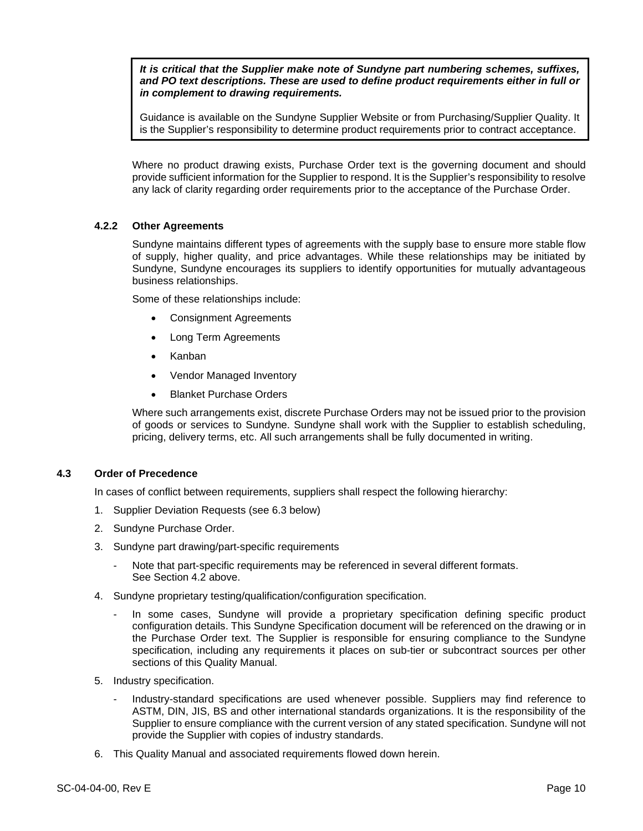*It is critical that the Supplier make note of Sundyne part numbering schemes, suffixes, and PO text descriptions. These are used to define product requirements either in full or in complement to drawing requirements.* 

Guidance is available on the Sundyne Supplier Website or from Purchasing/Supplier Quality. It is the Supplier's responsibility to determine product requirements prior to contract acceptance.

Where no product drawing exists, Purchase Order text is the governing document and should provide sufficient information for the Supplier to respond. It is the Supplier's responsibility to resolve any lack of clarity regarding order requirements prior to the acceptance of the Purchase Order.

#### **4.2.2 Other Agreements**

Sundyne maintains different types of agreements with the supply base to ensure more stable flow of supply, higher quality, and price advantages. While these relationships may be initiated by Sundyne, Sundyne encourages its suppliers to identify opportunities for mutually advantageous business relationships.

Some of these relationships include:

- Consignment Agreements
- Long Term Agreements
- Kanban
- Vendor Managed Inventory
- Blanket Purchase Orders

Where such arrangements exist, discrete Purchase Orders may not be issued prior to the provision of goods or services to Sundyne. Sundyne shall work with the Supplier to establish scheduling, pricing, delivery terms, etc. All such arrangements shall be fully documented in writing.

#### **4.3 Order of Precedence**

In cases of conflict between requirements, suppliers shall respect the following hierarchy:

- 1. Supplier Deviation Requests (see 6.3 below)
- 2. Sundyne Purchase Order.
- 3. Sundyne part drawing/part-specific requirements
	- Note that part-specific requirements may be referenced in several different formats. See Section 4.2 above.
- 4. Sundyne proprietary testing/qualification/configuration specification.
	- In some cases, Sundyne will provide a proprietary specification defining specific product configuration details. This Sundyne Specification document will be referenced on the drawing or in the Purchase Order text. The Supplier is responsible for ensuring compliance to the Sundyne specification, including any requirements it places on sub-tier or subcontract sources per other sections of this Quality Manual.
- 5. Industry specification.
	- Industry-standard specifications are used whenever possible. Suppliers may find reference to ASTM, DIN, JIS, BS and other international standards organizations. It is the responsibility of the Supplier to ensure compliance with the current version of any stated specification. Sundyne will not provide the Supplier with copies of industry standards.
- 6. This Quality Manual and associated requirements flowed down herein.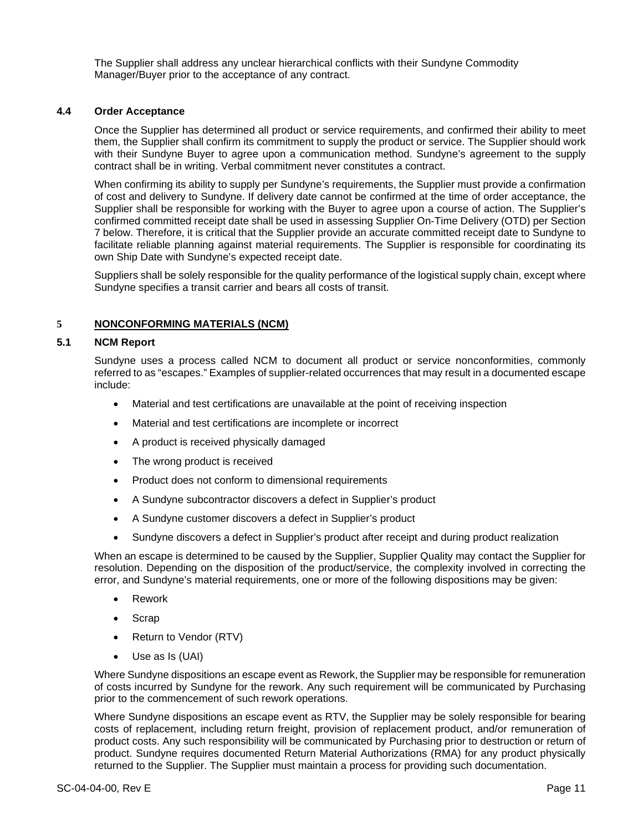The Supplier shall address any unclear hierarchical conflicts with their Sundyne Commodity Manager/Buyer prior to the acceptance of any contract.

#### **4.4 Order Acceptance**

Once the Supplier has determined all product or service requirements, and confirmed their ability to meet them, the Supplier shall confirm its commitment to supply the product or service. The Supplier should work with their Sundyne Buyer to agree upon a communication method. Sundyne's agreement to the supply contract shall be in writing. Verbal commitment never constitutes a contract.

When confirming its ability to supply per Sundyne's requirements, the Supplier must provide a confirmation of cost and delivery to Sundyne. If delivery date cannot be confirmed at the time of order acceptance, the Supplier shall be responsible for working with the Buyer to agree upon a course of action. The Supplier's confirmed committed receipt date shall be used in assessing Supplier On-Time Delivery (OTD) per Section 7 below. Therefore, it is critical that the Supplier provide an accurate committed receipt date to Sundyne to facilitate reliable planning against material requirements. The Supplier is responsible for coordinating its own Ship Date with Sundyne's expected receipt date.

Suppliers shall be solely responsible for the quality performance of the logistical supply chain, except where Sundyne specifies a transit carrier and bears all costs of transit.

#### **5 NONCONFORMING MATERIALS (NCM)**

#### **5.1 NCM Report**

Sundyne uses a process called NCM to document all product or service nonconformities, commonly referred to as "escapes." Examples of supplier-related occurrences that may result in a documented escape include:

- Material and test certifications are unavailable at the point of receiving inspection
- Material and test certifications are incomplete or incorrect
- A product is received physically damaged
- The wrong product is received
- Product does not conform to dimensional requirements
- A Sundyne subcontractor discovers a defect in Supplier's product
- A Sundyne customer discovers a defect in Supplier's product
- Sundyne discovers a defect in Supplier's product after receipt and during product realization

When an escape is determined to be caused by the Supplier, Supplier Quality may contact the Supplier for resolution. Depending on the disposition of the product/service, the complexity involved in correcting the error, and Sundyne's material requirements, one or more of the following dispositions may be given:

- Rework
- Scrap
- Return to Vendor (RTV)
- Use as Is (UAI)

Where Sundyne dispositions an escape event as Rework, the Supplier may be responsible for remuneration of costs incurred by Sundyne for the rework. Any such requirement will be communicated by Purchasing prior to the commencement of such rework operations.

Where Sundyne dispositions an escape event as RTV, the Supplier may be solely responsible for bearing costs of replacement, including return freight, provision of replacement product, and/or remuneration of product costs. Any such responsibility will be communicated by Purchasing prior to destruction or return of product. Sundyne requires documented Return Material Authorizations (RMA) for any product physically returned to the Supplier. The Supplier must maintain a process for providing such documentation.